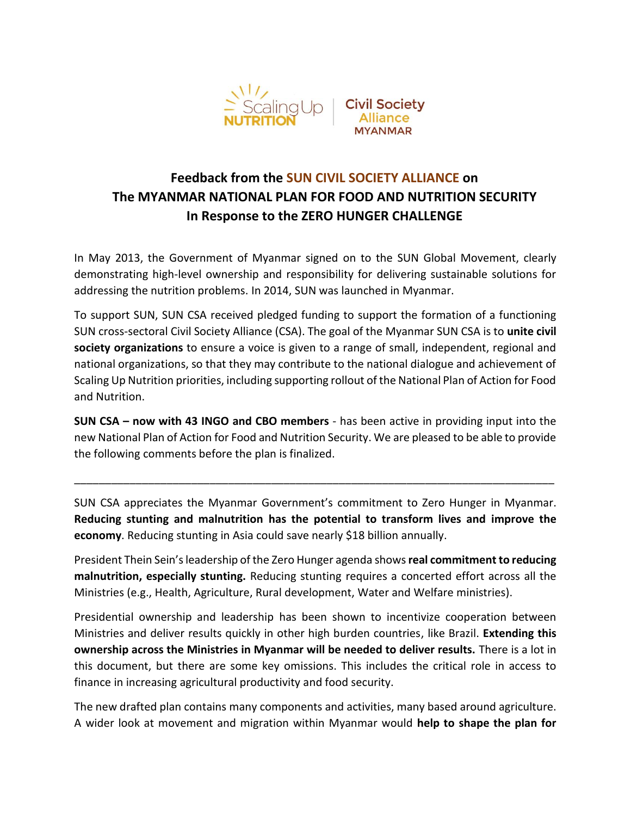

# **Feedback from the SUN CIVIL SOCIETY ALLIANCE on The MYANMAR NATIONAL PLAN FOR FOOD AND NUTRITION SECURITY In Response to the ZERO HUNGER CHALLENGE**

In May 2013, the Government of Myanmar signed on to the SUN Global Movement, clearly demonstrating high-level ownership and responsibility for delivering sustainable solutions for addressing the nutrition problems. In 2014, SUN was launched in Myanmar.

To support SUN, SUN CSA received pledged funding to support the formation of a functioning SUN cross-sectoral Civil Society Alliance (CSA). The goal of the Myanmar SUN CSA is to **unite civil society organizations** to ensure a voice is given to a range of small, independent, regional and national organizations, so that they may contribute to the national dialogue and achievement of Scaling Up Nutrition priorities, including supporting rollout of the National Plan of Action for Food and Nutrition.

**SUN CSA – now with 43 INGO and CBO members** - has been active in providing input into the new National Plan of Action for Food and Nutrition Security. We are pleased to be able to provide the following comments before the plan is finalized.

SUN CSA appreciates the Myanmar Government's commitment to Zero Hunger in Myanmar. **Reducing stunting and malnutrition has the potential to transform lives and improve the economy**. Reducing stunting in Asia could save nearly \$18 billion annually.

\_\_\_\_\_\_\_\_\_\_\_\_\_\_\_\_\_\_\_\_\_\_\_\_\_\_\_\_\_\_\_\_\_\_\_\_\_\_\_\_\_\_\_\_\_\_\_\_\_\_\_\_\_\_\_\_\_\_\_\_\_\_\_\_\_\_\_\_\_\_\_\_\_\_\_\_\_\_

President Thein Sein's leadership of the Zero Hunger agenda shows **real commitment to reducing malnutrition, especially stunting.** Reducing stunting requires a concerted effort across all the Ministries (e.g., Health, Agriculture, Rural development, Water and Welfare ministries).

Presidential ownership and leadership has been shown to incentivize cooperation between Ministries and deliver results quickly in other high burden countries, like Brazil. **Extending this ownership across the Ministries in Myanmar will be needed to deliver results.** There is a lot in this document, but there are some key omissions. This includes the critical role in access to finance in increasing agricultural productivity and food security.

The new drafted plan contains many components and activities, many based around agriculture. A wider look at movement and migration within Myanmar would **help to shape the plan for**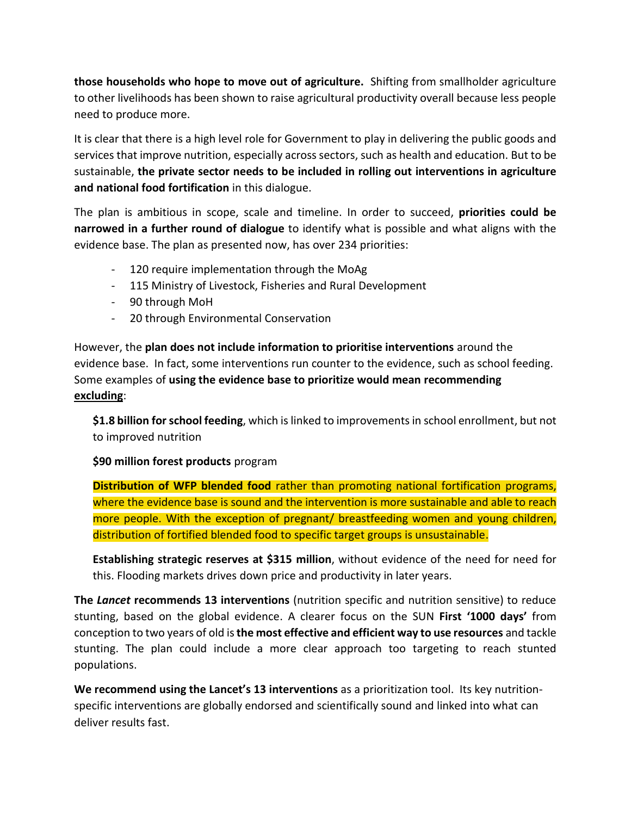**those households who hope to move out of agriculture.** Shifting from smallholder agriculture to other livelihoods has been shown to raise agricultural productivity overall because less people need to produce more.

It is clear that there is a high level role for Government to play in delivering the public goods and services that improve nutrition, especially across sectors, such as health and education. But to be sustainable, **the private sector needs to be included in rolling out interventions in agriculture and national food fortification** in this dialogue.

The plan is ambitious in scope, scale and timeline. In order to succeed, **priorities could be narrowed in a further round of dialogue** to identify what is possible and what aligns with the evidence base. The plan as presented now, has over 234 priorities:

- 120 require implementation through the MoAg
- 115 Ministry of Livestock, Fisheries and Rural Development
- 90 through MoH
- 20 through Environmental Conservation

However, the **plan does not include information to prioritise interventions** around the evidence base. In fact, some interventions run counter to the evidence, such as school feeding. Some examples of **using the evidence base to prioritize would mean recommending excluding**:

**\$1.8 billion for school feeding**, which is linked to improvements in school enrollment, but not to improved nutrition

## **\$90 million forest products** program

**Distribution of WFP blended food** rather than promoting national fortification programs, where the evidence base is sound and the intervention is more sustainable and able to reach more people. With the exception of pregnant/ breastfeeding women and young children, distribution of fortified blended food to specific target groups is unsustainable.

**Establishing strategic reserves at \$315 million**, without evidence of the need for need for this. Flooding markets drives down price and productivity in later years.

**The** *Lancet* **recommends 13 interventions** (nutrition specific and nutrition sensitive) to reduce stunting, based on the global evidence. A clearer focus on the SUN **First '1000 days'** from conception to two years of old is **the most effective and efficient way to use resources** and tackle stunting. The plan could include a more clear approach too targeting to reach stunted populations.

**We recommend using the Lancet's 13 interventions** as a prioritization tool. Its key nutritionspecific interventions are globally endorsed and scientifically sound and linked into what can deliver results fast.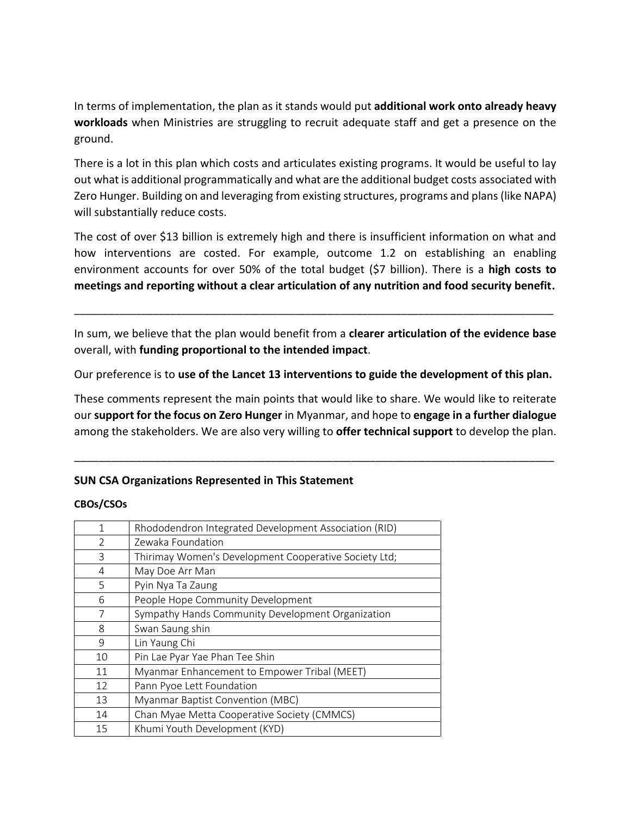In terms of implementation, the plan as it stands would put **additional work onto already heavy workloads** when Ministries are struggling to recruit adequate staff and get a presence on the ground.

There is a lot in this plan which costs and articulates existing programs. It would be useful to lay out what is additional programmatically and what are the additional budget costs associated with Zero Hunger. Building on and leveraging from existing structures, programs and plans (like NAPA) will substantially reduce costs.

The cost of over \$13 billion is extremely high and there is insufficient information on what and how interventions are costed. For example, outcome 1.2 on establishing an enabling environment accounts for over 50% of the total budget (\$7 billion). There is a **high costs to meetings and reporting without a clear articulation of any nutrition and food security benefit.**

In sum, we believe that the plan would benefit from a **clearer articulation of the evidence base** overall, with **funding proportional to the intended impact**.

\_\_\_\_\_\_\_\_\_\_\_\_\_\_\_\_\_\_\_\_\_\_\_\_\_\_\_\_\_\_\_\_\_\_\_\_\_\_\_\_\_\_\_\_\_\_\_\_\_\_\_\_\_\_\_\_\_\_\_\_\_\_\_\_\_\_\_\_\_\_\_\_\_\_\_\_\_\_\_\_\_\_\_\_\_

Our preference is to **use of the Lancet 13 interventions to guide the development of this plan.**

These comments represent the main points that would like to share. We would like to reiterate our **support for the focus on Zero Hunger** in Myanmar, and hope to **engage in a further dialogue** among the stakeholders. We are also very willing to **offer technical support** to develop the plan.

\_\_\_\_\_\_\_\_\_\_\_\_\_\_\_\_\_\_\_\_\_\_\_\_\_\_\_\_\_\_\_\_\_\_\_\_\_\_\_\_\_\_\_\_\_\_\_\_\_\_\_\_\_\_\_\_\_\_\_\_\_\_\_\_\_\_\_\_\_\_\_\_\_\_\_\_\_\_

### **SUN CSA Organizations Represented in This Statement**

#### **CBOs/CSOs**

| 1              | Rhododendron Integrated Development Association (RID) |
|----------------|-------------------------------------------------------|
| $\mathfrak{D}$ | Zewaka Foundation                                     |
| 3              | Thirimay Women's Development Cooperative Society Ltd; |
| 4              | May Doe Arr Man                                       |
| 5              | Pyin Nya Ta Zaung                                     |
| 6              | People Hope Community Development                     |
| 7              | Sympathy Hands Community Development Organization     |
| 8              | Swan Saung shin                                       |
| $\mathsf{Q}$   | Lin Yaung Chi                                         |
| 10             | Pin Lae Pyar Yae Phan Tee Shin                        |
| 11             | Myanmar Enhancement to Empower Tribal (MEET)          |
| 12             | Pann Pyoe Lett Foundation                             |
| 13             | Myanmar Baptist Convention (MBC)                      |
| 14             | Chan Myae Metta Cooperative Society (CMMCS)           |
| 15             | Khumi Youth Development (KYD)                         |